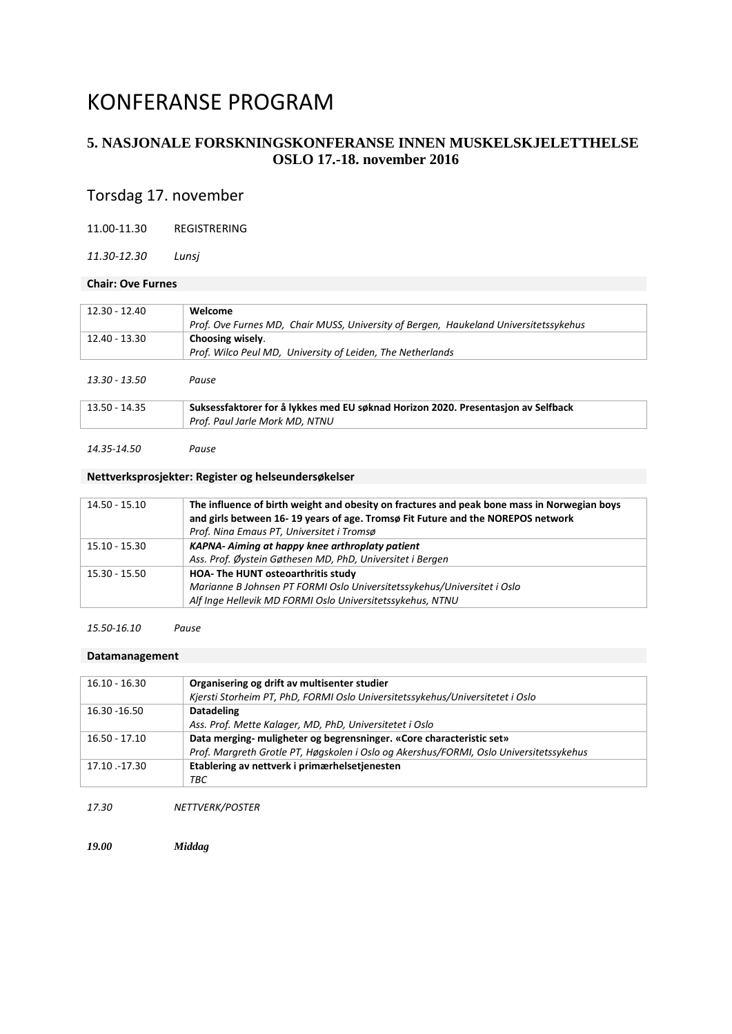# KONFERANSE PROGRAM

# **5. NASJONALE FORSKNINGSKONFERANSE INNEN MUSKELSKJELETTHELSE OSLO 17.-18. november 2016**

# Torsdag 17. november

11.00-11.30 REGISTRERING

*11.30-12.30 Lunsj*

### **Chair: Ove Furnes**

| 12.30 - 12.40   | Welcome                                                                              |
|-----------------|--------------------------------------------------------------------------------------|
|                 | Prof. Ove Furnes MD, Chair MUSS, University of Bergen, Haukeland Universitetssykehus |
| 12.40 - 13.30   | Choosing wisely.                                                                     |
|                 | Prof. Wilco Peul MD, University of Leiden, The Netherlands                           |
| 13.30 - 13.50   | Pause                                                                                |
| $13.50 - 14.35$ | Suksessfaktorer for å lykkes med EU søknad Horizon 2020. Presentasjon av Selfback    |
|                 | Prof. Paul Jarle Mork MD, NTNU                                                       |

*14.35-14.50 Pause*

### **Nettverksprosjekter: Register og helseundersøkelser**

| 14.50 - 15.10 | The influence of birth weight and obesity on fractures and peak bone mass in Norwegian boys<br>and girls between 16-19 years of age. Tromsø Fit Future and the NOREPOS network<br>Prof. Nina Emaus PT, Universitet i Tromsø |
|---------------|-----------------------------------------------------------------------------------------------------------------------------------------------------------------------------------------------------------------------------|
| 15.10 - 15.30 | KAPNA- Aiming at happy knee arthroplaty patient<br>Ass. Prof. Øystein Gøthesen MD, PhD, Universitet i Bergen                                                                                                                |
| 15.30 - 15.50 | HOA- The HUNT osteoarthritis study<br>Marianne B Johnsen PT FORMI Oslo Universitetssykehus/Universitet i Oslo<br>Alf Inge Hellevik MD FORMI Oslo Universitetssykehus, NTNU                                                  |

#### *15.50-16.10 Pause*

#### **Datamanagement**

| $16.10 - 16.30$ | Organisering og drift av multisenter studier                                           |
|-----------------|----------------------------------------------------------------------------------------|
|                 | Kjersti Storheim PT, PhD, FORMI Oslo Universitetssykehus/Universitetet i Oslo          |
| 16.30 - 16.50   | <b>Datadeling</b>                                                                      |
|                 | Ass. Prof. Mette Kalager, MD, PhD, Universitetet i Oslo                                |
| $16.50 - 17.10$ | Data merging-muligheter og begrensninger. «Core characteristic set»                    |
|                 | Prof. Margreth Grotle PT, Høgskolen i Oslo og Akershus/FORMI, Oslo Universitetssykehus |
| 17.10 .-17.30   | Etablering av nettverk i primærhelsetjenesten                                          |
|                 | ТВС                                                                                    |

*17.30 NETTVERK/POSTER*

*19.00 Middag*